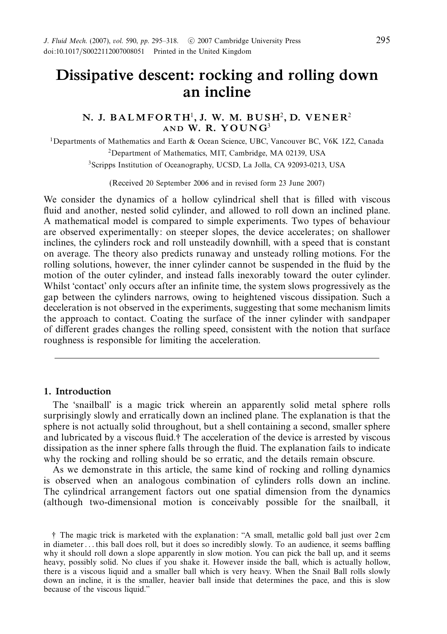# *Dissipative descent: rocking and rolling down an incline*

# *N. J. B A LM F O R T H*<sup>1</sup>*, J. W. M. B U S H*<sup>2</sup>*, D. V E N E R*<sup>2</sup> *AND W. R. Y O U N G*<sup>3</sup>

<sup>1</sup>Departments of Mathematics and Earth & Ocean Science, UBC, Vancouver BC, V6K 1Z2, Canada 2Department of Mathematics, MIT, Cambridge, MA 02139, USA

3Scripps Institution of Oceanography, UCSD, La Jolla, CA 92093-0213, USA

(Received 20 September 2006 and in revised form 23 June 2007)

We consider the dynamics of a hollow cylindrical shell that is filled with viscous fluid and another, nested solid cylinder, and allowed to roll down an inclined plane. A mathematical model is compared to simple experiments. Two types of behaviour are observed experimentally: on steeper slopes, the device accelerates; on shallower inclines, the cylinders rock and roll unsteadily downhill, with a speed that is constant on average. The theory also predicts runaway and unsteady rolling motions. For the rolling solutions, however, the inner cylinder cannot be suspended in the fluid by the motion of the outer cylinder, and instead falls inexorably toward the outer cylinder. Whilst 'contact' only occurs after an infinite time, the system slows progressively as the gap between the cylinders narrows, owing to heightened viscous dissipation. Such a deceleration is not observed in the experiments, suggesting that some mechanism limits the approach to contact. Coating the surface of the inner cylinder with sandpaper of different grades changes the rolling speed, consistent with the notion that surface roughness is responsible for limiting the acceleration.

## *1. Introduction*

The 'snailball' is a magic trick wherein an apparently solid metal sphere rolls surprisingly slowly and erratically down an inclined plane. The explanation is that the sphere is not actually solid throughout, but a shell containing a second, smaller sphere and lubricated by a viscous fluid.† The acceleration of the device is arrested by viscous dissipation as the inner sphere falls through the fluid. The explanation fails to indicate why the rocking and rolling should be so erratic, and the details remain obscure.

As we demonstrate in this article, the same kind of rocking and rolling dynamics is observed when an analogous combination of cylinders rolls down an incline. The cylindrical arrangement factors out one spatial dimension from the dynamics (although two-dimensional motion is conceivably possible for the snailball, it

<sup>†</sup> The magic trick is marketed with the explanation: "A small, metallic gold ball just over 2 cm in diameter*...* this ball does roll, but it does so incredibly slowly. To an audience, it seems baffling why it should roll down a slope apparently in slow motion. You can pick the ball up, and it seems heavy, possibly solid. No clues if you shake it. However inside the ball, which is actually hollow, there is a viscous liquid and a smaller ball which is very heavy. When the Snail Ball rolls slowly down an incline, it is the smaller, heavier ball inside that determines the pace, and this is slow because of the viscous liquid."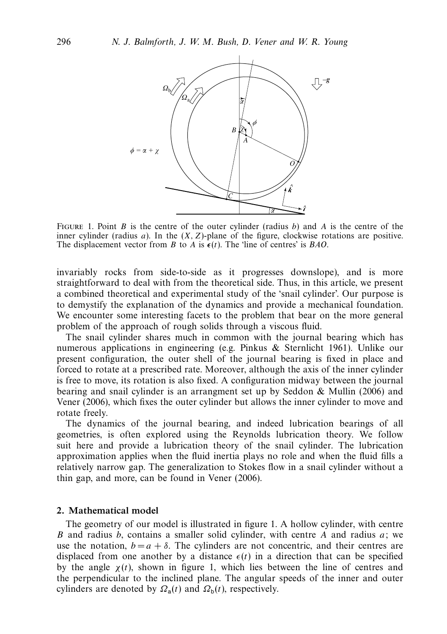

Figure 1. Point *B* is the centre of the outer cylinder (radius *b*) and *A* is the centre of the inner cylinder (radius *a*). In the (*X,Z*)-plane of the figure, clockwise rotations are positive. The displacement vector from *B* to *A* is  $\epsilon(t)$ . The 'line of centres' is *BAO*.

invariably rocks from side-to-side as it progresses downslope), and is more straightforward to deal with from the theoretical side. Thus, in this article, we present a combined theoretical and experimental study of the 'snail cylinder'. Our purpose is to demystify the explanation of the dynamics and provide a mechanical foundation. We encounter some interesting facets to the problem that bear on the more general problem of the approach of rough solids through a viscous fluid.

The snail cylinder shares much in common with the journal bearing which has numerous applications in engineering (e.g. Pinkus & Sternlicht 1961). Unlike our present configuration, the outer shell of the journal bearing is fixed in place and forced to rotate at a prescribed rate. Moreover, although the axis of the inner cylinder is free to move, its rotation is also fixed. A configuration midway between the journal bearing and snail cylinder is an arrangment set up by Seddon & Mullin (2006) and Vener (2006), which fixes the outer cylinder but allows the inner cylinder to move and rotate freely.

The dynamics of the journal bearing, and indeed lubrication bearings of all geometries, is often explored using the Reynolds lubrication theory. We follow suit here and provide a lubrication theory of the snail cylinder. The lubrication approximation applies when the fluid inertia plays no role and when the fluid fills a relatively narrow gap. The generalization to Stokes flow in a snail cylinder without a thin gap, and more, can be found in Vener (2006).

## *2. Mathematical model*

The geometry of our model is illustrated in figure 1. A hollow cylinder, with centre *B* and radius *b*, contains a smaller solid cylinder, with centre *A* and radius *a*; we use the notation,  $b = a + \delta$ . The cylinders are not concentric, and their centres are displaced from one another by a distance  $\epsilon(t)$  in a direction that can be specified by the angle  $\chi(t)$ , shown in figure 1, which lies between the line of centres and the perpendicular to the inclined plane. The angular speeds of the inner and outer cylinders are denoted by  $\Omega_a(t)$  and  $\Omega_b(t)$ , respectively.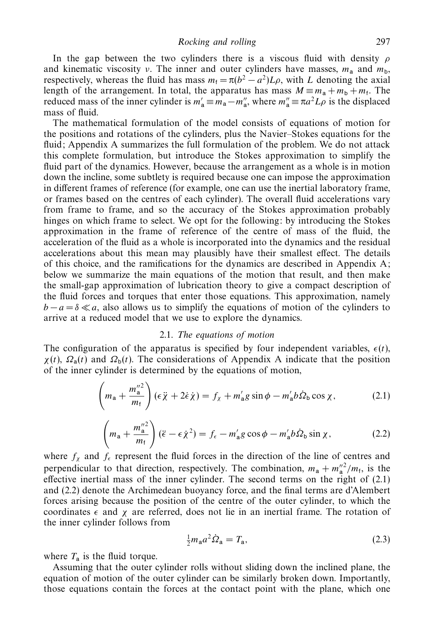In the gap between the two cylinders there is a viscous fluid with density *ρ* and kinematic viscosity *ν*. The inner and outer cylinders have masses,  $m_a$  and  $m_b$ , respectively, whereas the fluid has mass  $m_f = \pi(b^2 - a^2)L\rho$ , with *L* denoting the axial length of the arrangement. In total, the apparatus has mass  $M \equiv m_a + m_b + m_f$ . The reduced mass of the inner cylinder is  $m'_a \equiv m_a - m''_a$ , where  $m''_a \equiv \pi a^2 L \rho$  is the displaced mass of fluid.

The mathematical formulation of the model consists of equations of motion for the positions and rotations of the cylinders, plus the Navier–Stokes equations for the fluid; Appendix A summarizes the full formulation of the problem. We do not attack this complete formulation, but introduce the Stokes approximation to simplify the fluid part of the dynamics. However, because the arrangement as a whole is in motion down the incline, some subtlety is required because one can impose the approximation in different frames of reference (for example, one can use the inertial laboratory frame, or frames based on the centres of each cylinder). The overall fluid accelerations vary from frame to frame, and so the accuracy of the Stokes approximation probably hinges on which frame to select. We opt for the following: by introducing the Stokes approximation in the frame of reference of the centre of mass of the fluid, the acceleration of the fluid as a whole is incorporated into the dynamics and the residual accelerations about this mean may plausibly have their smallest effect. The details of this choice, and the ramifications for the dynamics are described in Appendix  $A$ ; below we summarize the main equations of the motion that result, and then make the small-gap approximation of lubrication theory to give a compact description of the fluid forces and torques that enter those equations. This approximation, namely  $b - a = \delta \ll a$ , also allows us to simplify the equations of motion of the cylinders to arrive at a reduced model that we use to explore the dynamics.

## 2.1. The equations of motion

The configuration of the apparatus is specified by four independent variables,  $\epsilon(t)$ , *χ*(*t*),  $Ω<sub>a</sub>(t)$  and  $Ω<sub>b</sub>(t)$ . The considerations of Appendix A indicate that the position of the inner cylinder is determined by the equations of motion,

$$
\left(m_{\mathbf{a}} + \frac{m_{\mathbf{a}}^{"2}}{m_{\mathbf{f}}}\right)(\epsilon \ddot{\chi} + 2\dot{\epsilon} \dot{\chi}) = f_{\chi} + m_{\mathbf{a}}'g\sin\phi - m_{\mathbf{a}}'b\dot{\Omega}_{\mathbf{b}}\cos\chi,\tag{2.1}
$$

$$
\left(m_{\mathbf{a}} + \frac{m_{\mathbf{a}}^{"2}}{m_{\mathbf{f}}}\right)(\ddot{\epsilon} - \epsilon \dot{\chi}^2) = f_{\epsilon} - m_{\mathbf{a}}'g\cos\phi - m_{\mathbf{a}}'b\dot{\Omega}_{\mathbf{b}}\sin\chi,\tag{2.2}
$$

where  $f_{\chi}$  and  $f_{\epsilon}$  represent the fluid forces in the direction of the line of centres and perpendicular to that direction, respectively. The combination,  $m_a + m_a^{''2}/m_f$ , is the effective inertial mass of the inner cylinder. The second terms on the right of (2.1) and (2.2) denote the Archimedean buoyancy force, and the final terms are d'Alembert forces arising because the position of the centre of the outer cylinder, to which the coordinates *ε* and *χ* are referred, does not lie in an inertial frame. The rotation of the inner cylinder follows from

$$
\frac{1}{2}m_a a^2 \dot{\Omega}_a = T_a,\tag{2.3}
$$

where  $T_a$  is the fluid torque.

Assuming that the outer cylinder rolls without sliding down the inclined plane, the equation of motion of the outer cylinder can be similarly broken down. Importantly, those equations contain the forces at the contact point with the plane, which one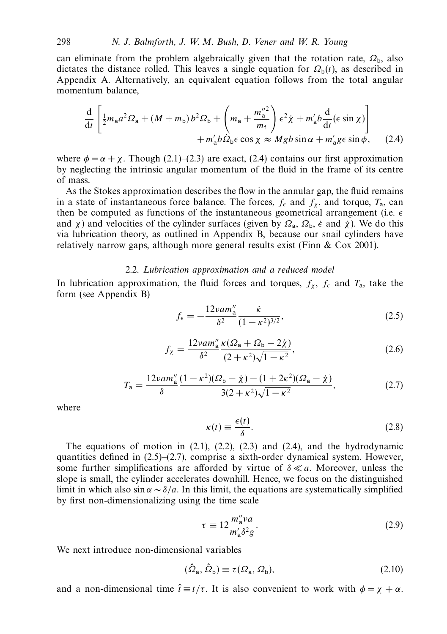can eliminate from the problem algebraically given that the rotation rate,  $\Omega_{\rm b}$ , also dictates the distance rolled. This leaves a single equation for  $\Omega_{b}(t)$ , as described in Appendix A. Alternatively, an equivalent equation follows from the total angular momentum balance,

$$
\frac{\mathrm{d}}{\mathrm{d}t} \left[ \frac{1}{2} m_a a^2 \Omega_a + (M + m_b) b^2 \Omega_b + \left( m_a + \frac{m_a''^2}{m_f} \right) \epsilon^2 \dot{\chi} + m_a' b \frac{\mathrm{d}}{\mathrm{d}t} (\epsilon \sin \chi) \right] + m_a' b \dot{\Omega}_b \epsilon \cos \chi \approx M g b \sin \alpha + m_a' g \epsilon \sin \phi, \tag{2.4}
$$

where  $\phi = \alpha + \chi$ . Though (2.1)–(2.3) are exact, (2.4) contains our first approximation by neglecting the intrinsic angular momentum of the fluid in the frame of its centre of mass.

As the Stokes approximation describes the flow in the annular gap, the fluid remains in a state of instantaneous force balance. The forces, *f-* and *fχ* , and torque, *T*a, can then be computed as functions of the instantaneous geometrical arrangement (i.e.  and *χ*) and velocities of the cylinder surfaces (given by  $\Omega_a$ ,  $\Omega_b$ ,  $\epsilon$  and  $\dot{\chi}$ ). We do this via lubrication theory, as outlined in Appendix B, because our snail cylinders have relatively narrow gaps, although more general results exist (Finn & Cox 2001).

#### 2.2. Lubrication approximation and a reduced model

In lubrication approximation, the fluid forces and torques,  $f_{\chi}$ ,  $f_{\epsilon}$  and  $T_{a}$ , take the form (see Appendix B)

$$
f_{\epsilon} = -\frac{12\nu am''_{\alpha}}{\delta^2} \frac{\dot{\kappa}}{(1 - \kappa^2)^{3/2}},
$$
\n(2.5)

$$
f_{\chi} = \frac{12\nu a m''_{\rm a}}{\delta^2} \frac{\kappa (\Omega_{\rm a} + \Omega_{\rm b} - 2\dot{\chi})}{(2 + \kappa^2)\sqrt{1 - \kappa^2}},\tag{2.6}
$$

$$
T_{\mathbf{a}} = \frac{12\upsilon a m_{\mathbf{a}}^{"}}{\delta} \frac{(1 - \kappa^2)(\Omega_{\mathbf{b}} - \dot{\chi}) - (1 + 2\kappa^2)(\Omega_{\mathbf{a}} - \dot{\chi})}{3(2 + \kappa^2)\sqrt{1 - \kappa^2}},
$$
(2.7)

where

$$
\kappa(t) \equiv \frac{\epsilon(t)}{\delta}.
$$
 (2.8)

The equations of motion in  $(2.1)$ ,  $(2.2)$ ,  $(2.3)$  and  $(2.4)$ , and the hydrodynamic quantities defined in (2.5)–(2.7), comprise a sixth-order dynamical system. However, some further simplifications are afforded by virtue of  $\delta \ll a$ . Moreover, unless the slope is small, the cylinder accelerates downhill. Hence, we focus on the distinguished limit in which also  $\sin \alpha \sim \delta/a$ . In this limit, the equations are systematically simplified by first non-dimensionalizing using the time scale

$$
\tau \equiv 12 \frac{m''_a v a}{m'_a \delta^2 g}.
$$
\n(2.9)

We next introduce non-dimensional variables

$$
(\hat{\Omega}_a, \hat{\Omega}_b) \equiv \tau(\Omega_a, \Omega_b), \tag{2.10}
$$

and a non-dimensional time  $\hat{t} \equiv t/\tau$ . It is also convenient to work with  $\phi = \chi + \alpha$ .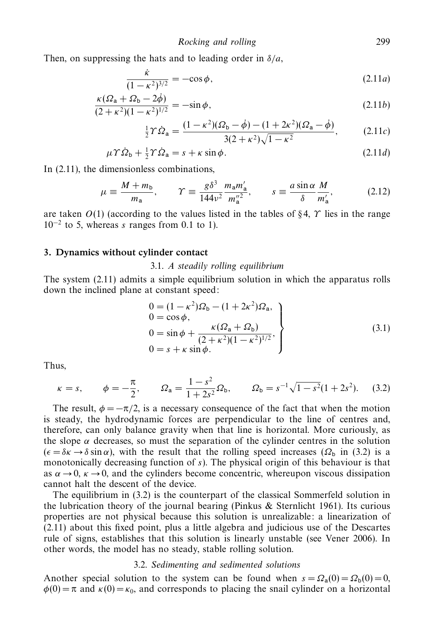Then, on suppressing the hats and to leading order in  $\delta/a$ ,

$$
\frac{\dot{\kappa}}{(1 - \kappa^2)^{3/2}} = -\cos\phi,\tag{2.11a}
$$

$$
\frac{\kappa(\Omega_{\rm a} + \Omega_{\rm b} - 2\dot{\phi})}{(2 + \kappa^2)(1 - \kappa^2)^{1/2}} = -\sin\phi,
$$
\n(2.11b)

$$
\frac{1}{2}\gamma \dot{\Omega}_{a} = \frac{(1 - \kappa^{2})(\Omega_{b} - \dot{\phi}) - (1 + 2\kappa^{2})(\Omega_{a} - \dot{\phi})}{3(2 + \kappa^{2})\sqrt{1 - \kappa^{2}}},
$$
(2.11*c*)

$$
\mu \Upsilon \dot{\Omega}_b + \frac{1}{2} \Upsilon \dot{\Omega}_a = s + \kappa \sin \phi. \tag{2.11d}
$$

In (2.11), the dimensionless combinations,

$$
\mu \equiv \frac{M + m_{\rm b}}{m_{\rm a}}, \qquad \Upsilon \equiv \frac{g \delta^3}{144v^2} \frac{m_{\rm a} m_{\rm a}'}{m_{\rm a}^{\prime 2}}, \qquad s \equiv \frac{a \sin \alpha}{\delta} \frac{M}{m_{\rm a}^{\prime}}, \tag{2.12}
$$

are taken  $O(1)$  (according to the values listed in the tables of §4,  $\gamma$  lies in the range 10−<sup>2</sup> to 5, whereas *s* ranges from 0*.*1 to 1).

## *3. Dynamics without cylinder contact*

## 3.1. A steadily rolling equilibrium

The system (2.11) admits a simple equilibrium solution in which the apparatus rolls down the inclined plane at constant speed:

$$
\begin{aligned}\n0 &= (1 - \kappa^2)\Omega_{\rm b} - (1 + 2\kappa^2)\Omega_{\rm a}, \\
0 &= \cos\phi, \\
0 &= \sin\phi + \frac{\kappa(\Omega_{\rm a} + \Omega_{\rm b})}{(2 + \kappa^2)(1 - \kappa^2)^{1/2}}, \\
0 &= s + \kappa \sin\phi.\n\end{aligned} \tag{3.1}
$$

Thus,

$$
\kappa = s,
$$
\n $\phi = -\frac{\pi}{2},$ \n $\Omega_a = \frac{1 - s^2}{1 + 2s^2} \Omega_b,$ \n $\Omega_b = s^{-1} \sqrt{1 - s^2} (1 + 2s^2).$ \n(3.2)

The result,  $\phi = -\pi/2$ , is a necessary consequence of the fact that when the motion is steady, the hydrodynamic forces are perpendicular to the line of centres and, therefore, can only balance gravity when that line is horizontal. More curiously, as the slope  $\alpha$  decreases, so must the separation of the cylinder centres in the solution  $(\epsilon = \delta \kappa \rightarrow \delta \sin \alpha)$ , with the result that the rolling speed increases ( $\Omega_{\rm b}$  in (3.2) is a monotonically decreasing function of *s*). The physical origin of this behaviour is that as  $\alpha \rightarrow 0$ ,  $\kappa \rightarrow 0$ , and the cylinders become concentric, whereupon viscous dissipation cannot halt the descent of the device.

The equilibrium in (3.2) is the counterpart of the classical Sommerfeld solution in the lubrication theory of the journal bearing (Pinkus  $\&$  Sternlicht 1961). Its curious properties are not physical because this solution is unrealizable: a linearization of (2.11) about this fixed point, plus a little algebra and judicious use of the Descartes rule of signs, establishes that this solution is linearly unstable (see Vener 2006). In other words, the model has no steady, stable rolling solution.

## 3.2. Sedimenting and sedimented solutions

Another special solution to the system can be found when  $s = \Omega_a(0) = \Omega_b(0) = 0$ ,  $\phi(0) = \pi$  and  $\kappa(0) = \kappa_0$ , and corresponds to placing the snail cylinder on a horizontal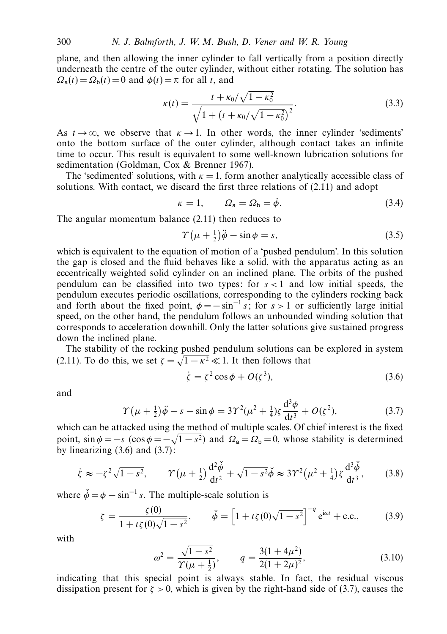plane, and then allowing the inner cylinder to fall vertically from a position directly underneath the centre of the outer cylinder, without either rotating. The solution has  $\Omega_a(t) = \Omega_b(t) = 0$  and  $\phi(t) = \pi$  for all *t*, and

$$
\kappa(t) = \frac{t + \kappa_0 / \sqrt{1 - \kappa_0^2}}{\sqrt{1 + \left(t + \kappa_0 / \sqrt{1 - \kappa_0^2}\right)^2}}.
$$
\n(3.3)

As  $t \to \infty$ , we observe that  $\kappa \to 1$ . In other words, the inner cylinder 'sediments' onto the bottom surface of the outer cylinder, although contact takes an infinite time to occur. This result is equivalent to some well-known lubrication solutions for sedimentation (Goldman, Cox & Brenner 1967).

The 'sedimented' solutions, with  $\kappa = 1$ , form another analytically accessible class of solutions. With contact, we discard the first three relations of (2.11) and adopt

$$
\kappa = 1, \qquad \Omega_{\rm a} = \Omega_{\rm b} = \dot{\phi}.
$$
 (3.4)

The angular momentum balance (2.11) then reduces to

$$
\Upsilon\left(\mu + \frac{1}{2}\right)\ddot{\phi} - \sin\phi = s,\tag{3.5}
$$

which is equivalent to the equation of motion of a 'pushed pendulum'. In this solution the gap is closed and the fluid behaves like a solid, with the apparatus acting as an eccentrically weighted solid cylinder on an inclined plane. The orbits of the pushed pendulum can be classified into two types: for *s <* 1 and low initial speeds, the pendulum executes periodic oscillations, corresponding to the cylinders rocking back and forth about the fixed point,  $\phi = -\sin^{-1} s$ ; for  $s > 1$  or sufficiently large initial speed, on the other hand, the pendulum follows an unbounded winding solution that corresponds to acceleration downhill. Only the latter solutions give sustained progress down the inclined plane.

The stability of the rocking pushed pendulum solutions can be explored in system (2.11). To do this, we set  $\zeta = \sqrt{1 - \kappa^2} \ll 1$ . It then follows that

$$
\dot{\zeta} = \zeta^2 \cos \phi + O(\zeta^3),\tag{3.6}
$$

and

$$
\Upsilon(\mu + \frac{1}{2})\ddot{\phi} - s - \sin \phi = 3\Upsilon^2(\mu^2 + \frac{1}{4})\zeta \frac{d^3\phi}{dt^3} + O(\zeta^2),\tag{3.7}
$$

which can be attacked using the method of multiple scales. Of chief interest is the fixed point,  $\sin \phi = -s$  (cos  $\phi = -\sqrt{1 - s^2}$ ) and  $\Omega_a = \Omega_b = 0$ , whose stability is determined by linearizing  $(3.6)$  and  $(3.7)$ :

$$
\dot{\zeta} \approx -\zeta^2 \sqrt{1 - s^2}, \qquad \Upsilon \left( \mu + \frac{1}{2} \right) \frac{\mathrm{d}^2 \check{\phi}}{\mathrm{d} t^2} + \sqrt{1 - s^2} \check{\phi} \approx 3\Upsilon^2 \left( \mu^2 + \frac{1}{4} \right) \zeta \frac{\mathrm{d}^3 \check{\phi}}{\mathrm{d} t^3},\tag{3.8}
$$

where  $\check{\phi} = \phi - \sin^{-1} s$ . The multiple-scale solution is

$$
\zeta = \frac{\zeta(0)}{1 + t\zeta(0)\sqrt{1 - s^2}}, \qquad \check{\phi} = \left[1 + t\zeta(0)\sqrt{1 - s^2}\right]^{-q} e^{i\omega t} + \text{c.c.}, \tag{3.9}
$$

with

$$
\omega^2 = \frac{\sqrt{1 - s^2}}{\Upsilon(\mu + \frac{1}{2})}, \qquad q = \frac{3(1 + 4\mu^2)}{2(1 + 2\mu)^2},
$$
(3.10)

indicating that this special point is always stable. In fact, the residual viscous dissipation present for  $\zeta > 0$ , which is given by the right-hand side of (3.7), causes the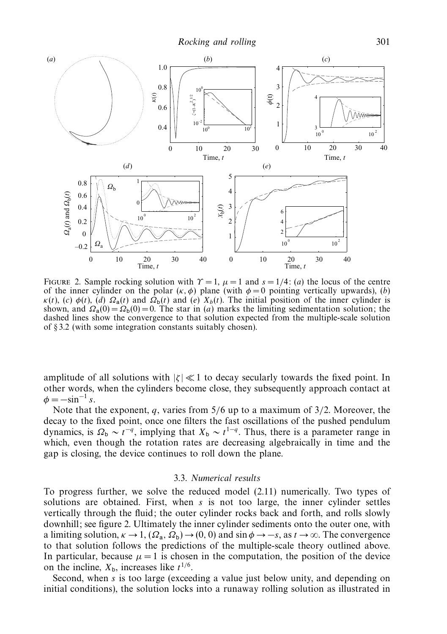

FIGURE 2. Sample rocking solution with  $\gamma = 1$ ,  $\mu = 1$  and  $s = 1/4$ : (a) the locus of the centre of the inner cylinder on the polar  $(\kappa, \phi)$  plane (with  $\phi = 0$  pointing vertically upwards), (b) *κ*(*t*), (*c*)  $\phi(t)$ , (*d*)  $\Omega_a(t)$  and  $\Omega_b(t)$  and (*e*)  $X_b(t)$ . The initial position of the inner cylinder is shown, and  $\Omega_a(0) = \Omega_b(0) = 0$ . The star in (*a*) marks the limiting sedimentation solution; the dashed lines show the convergence to that solution expected from the multiple-scale solution of § 3.2 (with some integration constants suitably chosen).

amplitude of all solutions with  $|\zeta| \ll 1$  to decay secularly towards the fixed point. In other words, when the cylinders become close, they subsequently approach contact at  $\phi = -\sin^{-1} s$ .

Note that the exponent, *q*, varies from 5*/*6 up to a maximum of 3*/*2. Moreover, the decay to the fixed point, once one filters the fast oscillations of the pushed pendulum dynamics, is  $\Omega_{\rm b} \sim t^{-q}$ , implying that  $X_{\rm b} \sim t^{1-q}$ . Thus, there is a parameter range in which, even though the rotation rates are decreasing algebraically in time and the gap is closing, the device continues to roll down the plane.

## 3.3. Numerical results

To progress further, we solve the reduced model (2.11) numerically. Two types of solutions are obtained. First, when *s* is not too large, the inner cylinder settles vertically through the fluid; the outer cylinder rocks back and forth, and rolls slowly downhill; see figure 2. Ultimately the inner cylinder sediments onto the outer one, with a limiting solution,  $\kappa \to 1$ ,  $(\Omega_a, \Omega_b) \to (0, 0)$  and  $\sin \phi \to -s$ , as  $t \to \infty$ . The convergence to that solution follows the predictions of the multiple-scale theory outlined above. In particular, because  $\mu = 1$  is chosen in the computation, the position of the device on the incline,  $X_b$ , increases like  $t^{1/6}$ .

Second, when *s* is too large (exceeding a value just below unity, and depending on initial conditions), the solution locks into a runaway rolling solution as illustrated in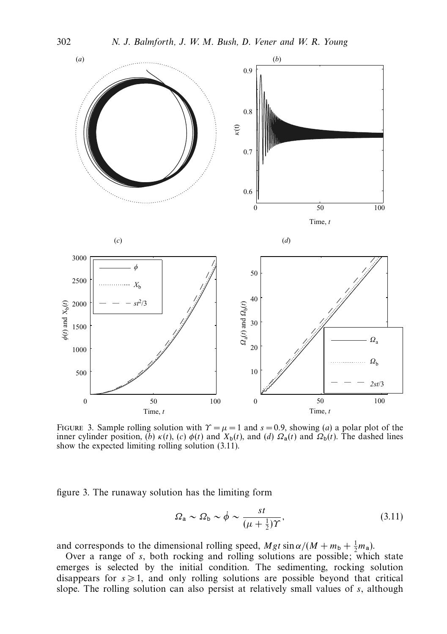

FIGURE 3. Sample rolling solution with  $\gamma = \mu = 1$  and  $s = 0.9$ , showing (a) a polar plot of the inner cylinder position,  $(b) \kappa(t)$ ,  $(c) \phi(t)$  and  $X_b(t)$ , and  $(d) \Omega_a(t)$  and  $\Omega_b(t)$ . The dashed lines show the expected limiting rolling solution (3.11).

figure 3. The runaway solution has the limiting form

$$
\Omega_{\rm a} \sim \Omega_{\rm b} \sim \dot{\phi} \sim \frac{st}{(\mu + \frac{1}{2})\Upsilon},\tag{3.11}
$$

and corresponds to the dimensional rolling speed,  $Mgt \sin \alpha/(M + m_b + \frac{1}{2}m_a)$ .

Over a range of *s*, both rocking and rolling solutions are possible; which state emerges is selected by the initial condition. The sedimenting, rocking solution disappears for  $s \ge 1$ , and only rolling solutions are possible beyond that critical slope. The rolling solution can also persist at relatively small values of *s*, although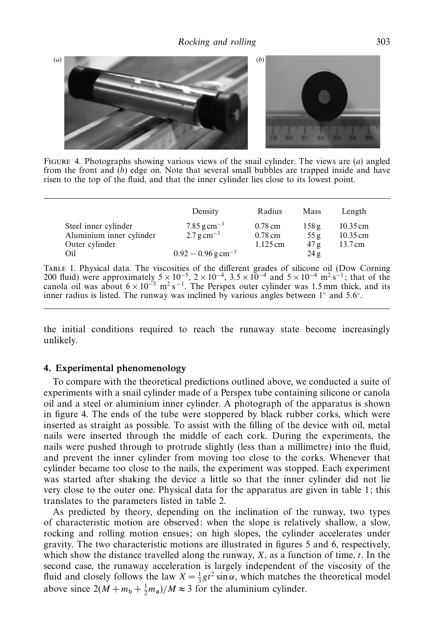

FIGURE 4. Photographs showing various views of the snail cylinder. The views are  $(a)$  angled from the front and  $(b)$  edge on. Note that several small bubbles are trapped inside and have risen to the top of the fluid, and that the inner cylinder lies close to its lowest point.

|                                                                           | Density                                                                                               | Radius                                               | Mass                       | Length                                              |
|---------------------------------------------------------------------------|-------------------------------------------------------------------------------------------------------|------------------------------------------------------|----------------------------|-----------------------------------------------------|
| Steel inner cylinder<br>Aluminium inner cylinder<br>Outer cylinder<br>Oil | $7.85 \,\mathrm{g} \,\mathrm{cm}^{-3}$<br>$2.7 \text{ g cm}^{-3}$<br>$0.92 - 0.96$ g cm <sup>-3</sup> | $0.78 \text{ cm}$<br>$0.78 \text{ cm}$<br>$1.125$ cm | 158g<br>55 g<br>47g<br>24g | $10.35 \text{ cm}$<br>$10.35 \text{ cm}$<br>13.7 cm |

Table 1. Physical data. The viscosities of the different grades of silicone oil (Dow Corning 200 fluid) were approximately  $5 \times 10^{-5}$ ,  $2 \times 10^{-4}$ ,  $3.5 \times 10^{-4}$  and  $5 \times 10^{-4}$  m<sup>2</sup> s<sup>-1</sup>; that of the canola oil was about  $6 \times 10^{-5}$  m<sup>2</sup> s<sup>-1</sup>. The Perspex outer cylinder was 1.5 mm thick, and its inner radius is listed. The runway was inclined by various angles between 1◦ and 5*.*6◦.

the initial conditions required to reach the runaway state become increasingly unlikely.

## *4. Experimental phenomenology*

To compare with the theoretical predictions outlined above, we conducted a suite of experiments with a snail cylinder made of a Perspex tube containing silicone or canola oil and a steel or aluminium inner cylinder. A photograph of the apparatus is shown in figure 4. The ends of the tube were stoppered by black rubber corks, which were inserted as straight as possible. To assist with the filling of the device with oil, metal nails were inserted through the middle of each cork. During the experiments, the nails were pushed through to protrude slightly (less than a millimetre) into the fluid, and prevent the inner cylinder from moving too close to the corks. Whenever that cylinder became too close to the nails, the experiment was stopped. Each experiment was started after shaking the device a little so that the inner cylinder did not lie very close to the outer one. Physical data for the apparatus are given in table 1; this translates to the parameters listed in table 2.

As predicted by theory, depending on the inclination of the runway, two types of characteristic motion are observed: when the slope is relatively shallow, a slow, rocking and rolling motion ensues; on high slopes, the cylinder accelerates under gravity. The two characteristic motions are illustrated in figures 5 and 6, respectively, which show the distance travelled along the runway, *X*, as a function of time, *t*. In the second case, the runaway acceleration is largely independent of the viscosity of the fluid and closely follows the law  $X = \frac{1}{3}gt^2 \sin \alpha$ , which matches the theoretical model above since  $2(M + m_b + \frac{1}{2}m_a)/M \approx 3$  for the aluminium cylinder.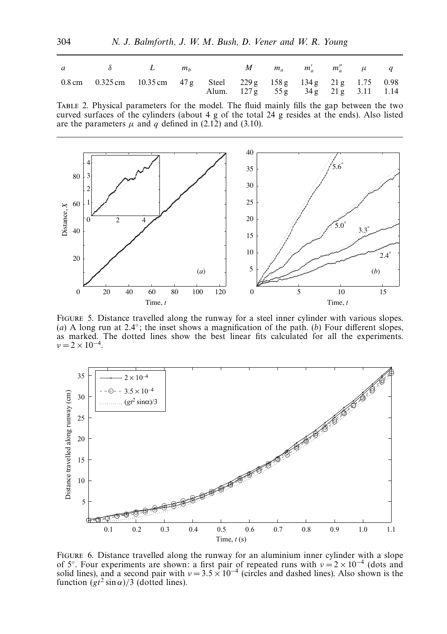| a $\delta$ L $m_b$ M $m_a$ $m'_a$ $m''_a$ $\mu$ $q$                  |  |                                      |  |  |  |
|----------------------------------------------------------------------|--|--------------------------------------|--|--|--|
| 0.8 cm 0.325 cm 10.35 cm 47 g Steel 229 g 158 g 134 g 21 g 1.75 0.98 |  | Alum. 127 g 55 g 34 g 21 g 3.11 1.14 |  |  |  |

Table 2. Physical parameters for the model. The fluid mainly fills the gap between the two curved surfaces of the cylinders (about 4 g of the total 24 g resides at the ends). Also listed are the parameters  $\mu$  and  $q$  defined in (2.12) and (3.10).



Figure 5. Distance travelled along the runway for a steel inner cylinder with various slopes. (a) A long run at  $2.4^\circ$ ; the inset shows a magnification of the path. (b) Four different slopes, as marked. The dotted lines show the best linear fits calculated for all the experiments.  $\nu = 2 \times 10^{-4}$ .



Figure 6. Distance travelled along the runway for an aluminium inner cylinder with a slope of 5<sup>°</sup>. Four experiments are shown: a first pair of repeated runs with  $v = 2 \times 10^{-4}$  (dots and solid lines), and a second pair with  $v = 3.5 \times 10^{-4}$  (circles and dashed lines). Also shown is the function  $(gt^2 \sin \alpha)/3$  (dotted lines).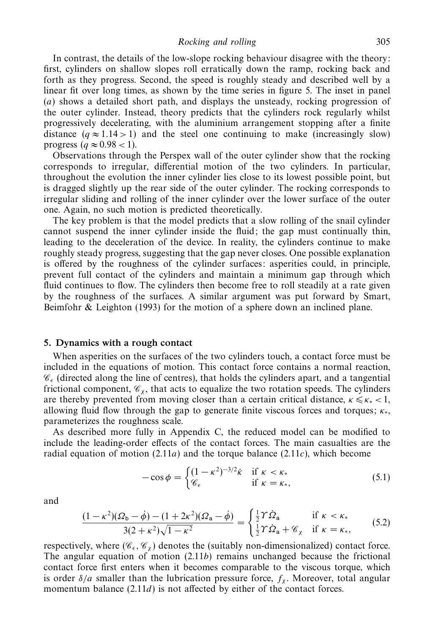Rocking and rolling 305

In contrast, the details of the low-slope rocking behaviour disagree with the theory: first, cylinders on shallow slopes roll erratically down the ramp, rocking back and forth as they progress. Second, the speed is roughly steady and described well by a linear fit over long times, as shown by the time series in figure 5. The inset in panel (*a*) shows a detailed short path, and displays the unsteady, rocking progression of the outer cylinder. Instead, theory predicts that the cylinders rock regularly whilst progressively decelerating, with the aluminium arrangement stopping after a finite distance  $(q \approx 1.14 > 1)$  and the steel one continuing to make (increasingly slow) progress  $(q \approx 0.98 < 1)$ .

Observations through the Perspex wall of the outer cylinder show that the rocking corresponds to irregular, differential motion of the two cylinders. In particular, throughout the evolution the inner cylinder lies close to its lowest possible point, but is dragged slightly up the rear side of the outer cylinder. The rocking corresponds to irregular sliding and rolling of the inner cylinder over the lower surface of the outer one. Again, no such motion is predicted theoretically.

The key problem is that the model predicts that a slow rolling of the snail cylinder cannot suspend the inner cylinder inside the fluid; the gap must continually thin, leading to the deceleration of the device. In reality, the cylinders continue to make roughly steady progress, suggesting that the gap never closes. One possible explanation is offered by the roughness of the cylinder surfaces: asperities could, in principle, prevent full contact of the cylinders and maintain a minimum gap through which fluid continues to flow. The cylinders then become free to roll steadily at a rate given by the roughness of the surfaces. A similar argument was put forward by Smart, Beimfohr & Leighton (1993) for the motion of a sphere down an inclined plane.

## *5. Dynamics with a rough contact*

When asperities on the surfaces of the two cylinders touch, a contact force must be included in the equations of motion. This contact force contains a normal reaction,  $\mathscr{C}_{\epsilon}$  (directed along the line of centres), that holds the cylinders apart, and a tangential frictional component,  $\mathcal{C}_{\gamma}$ , that acts to equalize the two rotation speeds. The cylinders are thereby prevented from moving closer than a certain critical distance,  $\kappa \le \kappa_* < 1$ , allowing fluid flow through the gap to generate finite viscous forces and torques; *κ*∗, parameterizes the roughness scale.

As described more fully in Appendix C, the reduced model can be modified to include the leading-order effects of the contact forces. The main casualties are the radial equation of motion  $(2.11a)$  and the torque balance  $(2.11c)$ , which become

$$
-\cos\phi = \begin{cases} (1 - \kappa^2)^{-3/2} \dot{\kappa} & \text{if } \kappa < \kappa_* \\ \mathcal{C}_{\epsilon} & \text{if } \kappa = \kappa_*, \end{cases}
$$
(5.1)

and

$$
\frac{(1-\kappa^2)(\Omega_{\rm b}-\dot{\phi})-(1+2\kappa^2)(\Omega_{\rm a}-\dot{\phi})}{3(2+\kappa^2)\sqrt{1-\kappa^2}} = \begin{cases} \frac{1}{2}\Upsilon\dot{\Omega}_{\rm a} & \text{if } \kappa < \kappa_*\\ \frac{1}{2}\Upsilon\dot{\Omega}_{\rm a}+\mathscr{C}_{\chi} & \text{if } \kappa = \kappa_*, \end{cases} \tag{5.2}
$$

respectively, where  $(\mathscr{C}_{\epsilon}, \mathscr{C}_{\chi})$  denotes the (suitably non-dimensionalized) contact force. The angular equation of motion (2.11*b*) remains unchanged because the frictional contact force first enters when it becomes comparable to the viscous torque, which is order  $\delta/a$  smaller than the lubrication pressure force,  $f<sub>x</sub>$ . Moreover, total angular momentum balance (2.11*d*) is not affected by either of the contact forces.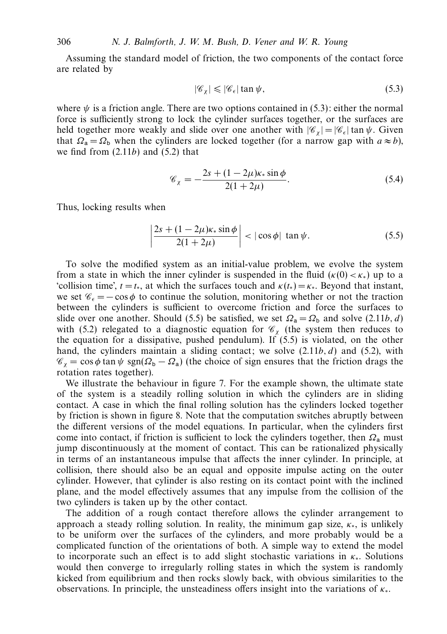Assuming the standard model of friction, the two components of the contact force are related by

$$
|\mathscr{C}_{\chi}| \leq |\mathscr{C}_{\epsilon}| \tan \psi, \tag{5.3}
$$

where  $\psi$  is a friction angle. There are two options contained in (5.3): either the normal force is sufficiently strong to lock the cylinder surfaces together, or the surfaces are held together more weakly and slide over one another with  $|\mathscr{C}_\chi| = |\mathscr{C}_\epsilon| \tan \psi$ . Given that  $\Omega_a = \Omega_b$  when the cylinders are locked together (for a narrow gap with  $a \approx b$ ), we find from  $(2.11b)$  and  $(5.2)$  that

$$
\mathcal{C}_{\chi} = -\frac{2s + (1 - 2\mu)\kappa \sin \phi}{2(1 + 2\mu)}.
$$
\n(5.4)

Thus, locking results when

$$
\left|\frac{2s + (1 - 2\mu)\kappa \sin \phi}{2(1 + 2\mu)}\right| < |\cos \phi| \tan \psi. \tag{5.5}
$$

To solve the modified system as an initial-value problem, we evolve the system from a state in which the inner cylinder is suspended in the fluid  $(\kappa(0) < \kappa_*)$  up to a 'collision time',  $t = t_*$ , at which the surfaces touch and  $\kappa(t_*) = \kappa_*$ . Beyond that instant, we set  $\mathscr{C}_{\epsilon} = -\cos \phi$  to continue the solution, monitoring whether or not the traction between the cylinders is sufficient to overcome friction and force the surfaces to slide over one another. Should (5.5) be satisfied, we set  $\Omega_a = \Omega_b$  and solve (2.11*b, d*) with (5.2) relegated to a diagnostic equation for  $\mathcal{C}_\gamma$  (the system then reduces to the equation for a dissipative, pushed pendulum). If (5.5) is violated, on the other hand, the cylinders maintain a sliding contact; we solve (2.11*b,d*) and (5.2), with  $\mathscr{C}_\chi = \cos \phi \tan \psi \, \text{sgn}(\Omega_b - \Omega_a)$  (the choice of sign ensures that the friction drags the rotation rates together).

We illustrate the behaviour in figure 7. For the example shown, the ultimate state of the system is a steadily rolling solution in which the cylinders are in sliding contact. A case in which the final rolling solution has the cylinders locked together by friction is shown in figure 8. Note that the computation switches abruptly between the different versions of the model equations. In particular, when the cylinders first come into contact, if friction is sufficient to lock the cylinders together, then *Ω*<sup>a</sup> must jump discontinuously at the moment of contact. This can be rationalized physically in terms of an instantaneous impulse that affects the inner cylinder. In principle, at collision, there should also be an equal and opposite impulse acting on the outer cylinder. However, that cylinder is also resting on its contact point with the inclined plane, and the model effectively assumes that any impulse from the collision of the two cylinders is taken up by the other contact.

The addition of a rough contact therefore allows the cylinder arrangement to approach a steady rolling solution. In reality, the minimum gap size, *κ*∗, is unlikely to be uniform over the surfaces of the cylinders, and more probably would be a complicated function of the orientations of both. A simple way to extend the model to incorporate such an effect is to add slight stochastic variations in *κ*∗. Solutions would then converge to irregularly rolling states in which the system is randomly kicked from equilibrium and then rocks slowly back, with obvious similarities to the observations. In principle, the unsteadiness offers insight into the variations of *κ*∗.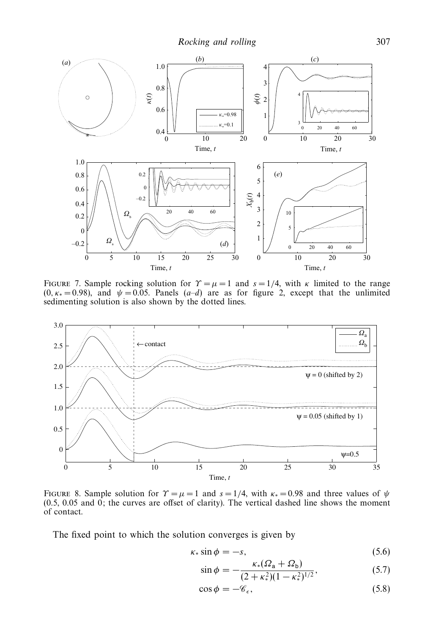

FIGURE 7. Sample rocking solution for  $\gamma = \mu = 1$  and  $s = 1/4$ , with  $\kappa$  limited to the range  $(0, \kappa_*)$  = 0.98), and  $\psi = 0.05$ . Panels  $(a-d)$  are as for figure 2, except that the unlimited sedimenting solution is also shown by the dotted lines.



FIGURE 8. Sample solution for  $\gamma = \mu = 1$  and  $s = 1/4$ , with  $\kappa_0 = 0.98$  and three values of  $\psi$ (0.5, 0.05 and 0; the curves are offset of clarity). The vertical dashed line shows the moment of contact.

The fixed point to which the solution converges is given by

$$
\kappa_* \sin \phi = -s,\tag{5.6}
$$

$$
\sin \phi = -\frac{\kappa_*(\Omega_\mathbf{a} + \Omega_\mathbf{b})}{(2 + \kappa_*^2)(1 - \kappa_*^2)^{1/2}},\tag{5.7}
$$

$$
\cos \phi = -\mathscr{C}_{\epsilon},\tag{5.8}
$$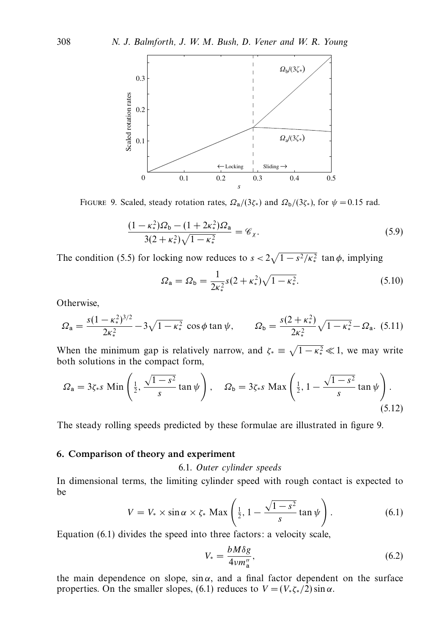

FIGURE 9. Scaled, steady rotation rates,  $\Omega_a/(3\zeta_*)$  and  $\Omega_b/(3\zeta_*)$ , for  $\psi = 0.15$  rad.

$$
\frac{(1 - \kappa_*^2)\Omega_{\rm b} - (1 + 2\kappa_*^2)\Omega_{\rm a}}{3(2 + \kappa_*^2)\sqrt{1 - \kappa_*^2}} = \mathscr{C}_{\chi}.
$$
\n(5.9)

The condition (5.5) for locking now reduces to  $s < 2\sqrt{1 - s^2/\kappa_*^2}$  tan  $\phi$ , implying

$$
\Omega_{\rm a} = \Omega_{\rm b} = \frac{1}{2\kappa_*^2} s (2 + \kappa_*^2) \sqrt{1 - \kappa_*^2}.
$$
\n(5.10)

Otherwise,

$$
\Omega_{\rm a} = \frac{s(1 - \kappa_{\ast}^2)^{3/2}}{2\kappa_{\ast}^2} - 3\sqrt{1 - \kappa_{\ast}^2} \, \cos\phi \tan\psi, \qquad \Omega_{\rm b} = \frac{s(2 + \kappa_{\ast}^2)}{2\kappa_{\ast}^2} \sqrt{1 - \kappa_{\ast}^2} - \Omega_{\rm a}.\tag{5.11}
$$

When the minimum gap is relatively narrow, and  $\zeta_* \equiv \sqrt{1 - \kappa_*^2} \ll 1$ , we may write both solutions in the compact form,

$$
\Omega_{\mathbf{a}} = 3\zeta_* s \, \text{Min}\left(\frac{1}{2}, \frac{\sqrt{1-s^2}}{s} \tan \psi\right), \quad \Omega_{\mathbf{b}} = 3\zeta_* s \, \text{Max}\left(\frac{1}{2}, 1 - \frac{\sqrt{1-s^2}}{s} \tan \psi\right). \tag{5.12}
$$

The steady rolling speeds predicted by these formulae are illustrated in figure 9.

## *6. Comparison of theory and experiment*

## 6.1. Outer cylinder speeds

In dimensional terms, the limiting cylinder speed with rough contact is expected to be

$$
V = V_* \times \sin \alpha \times \zeta_* \text{ Max} \left( \frac{1}{2}, 1 - \frac{\sqrt{1 - s^2}}{s} \tan \psi \right). \tag{6.1}
$$

Equation (6.1) divides the speed into three factors: a velocity scale,

$$
V_* = \frac{bM\delta g}{4\nu m''_a},\tag{6.2}
$$

the main dependence on slope,  $\sin \alpha$ , and a final factor dependent on the surface properties. On the smaller slopes, (6.1) reduces to  $V = (V_* \zeta_* / 2) \sin \alpha$ .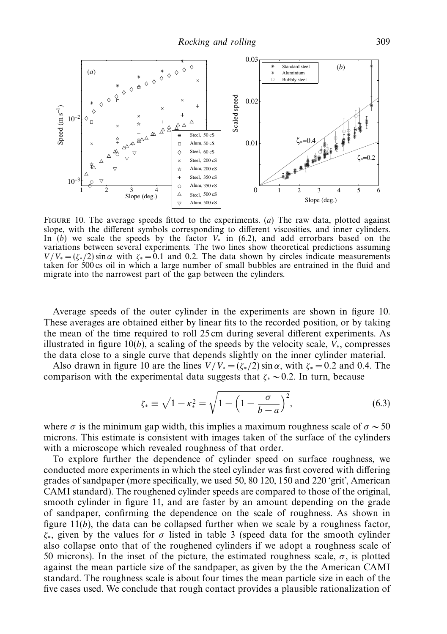

FIGURE 10. The average speeds fitted to the experiments.  $(a)$  The raw data, plotted against slope, with the different symbols corresponding to different viscosities, and inner cylinders. In (b) we scale the speeds by the factor *V*<sup>∗</sup> in (6.2), and add errorbars based on the variations between several experiments. The two lines show theoretical predictions assuming  $V/V_* = (\zeta_*/2) \sin \alpha$  with  $\zeta_* = 0.1$  and 0.2. The data shown by circles indicate measurements taken for 500 cs oil in which a large number of small bubbles are entrained in the fluid and migrate into the narrowest part of the gap between the cylinders.

Average speeds of the outer cylinder in the experiments are shown in figure 10. These averages are obtained either by linear fits to the recorded position, or by taking the mean of the time required to roll 25 cm during several different experiments. As illustrated in figure  $10(b)$ , a scaling of the speeds by the velocity scale,  $V_{*}$ , compresses the data close to a single curve that depends slightly on the inner cylinder material.

Also drawn in figure 10 are the lines  $V/V_*(\zeta_*/2) \sin \alpha$ , with  $\zeta_*=0.2$  and 0.4. The comparison with the experimental data suggests that *ζ*<sup>∗</sup> ∼ 0*.*2. In turn, because

$$
\zeta_* \equiv \sqrt{1 - \kappa_*^2} = \sqrt{1 - \left(1 - \frac{\sigma}{b - a}\right)^2},\tag{6.3}
$$

where  $\sigma$  is the minimum gap width, this implies a maximum roughness scale of  $\sigma \sim 50$ microns. This estimate is consistent with images taken of the surface of the cylinders with a microscope which revealed roughness of that order.

To explore further the dependence of cylinder speed on surface roughness, we conducted more experiments in which the steel cylinder was first covered with differing grades of sandpaper (more specifically, we used 50, 80 120, 150 and 220 'grit', American CAMI standard). The roughened cylinder speeds are compared to those of the original, smooth cylinder in figure 11, and are faster by an amount depending on the grade of sandpaper, confirming the dependence on the scale of roughness. As shown in figure  $11(b)$ , the data can be collapsed further when we scale by a roughness factor, *ζ*∗, given by the values for *σ* listed in table 3 (speed data for the smooth cylinder also collapse onto that of the roughened cylinders if we adopt a roughness scale of 50 microns). In the inset of the picture, the estimated roughness scale,  $\sigma$ , is plotted against the mean particle size of the sandpaper, as given by the the American CAMI standard. The roughness scale is about four times the mean particle size in each of the five cases used. We conclude that rough contact provides a plausible rationalization of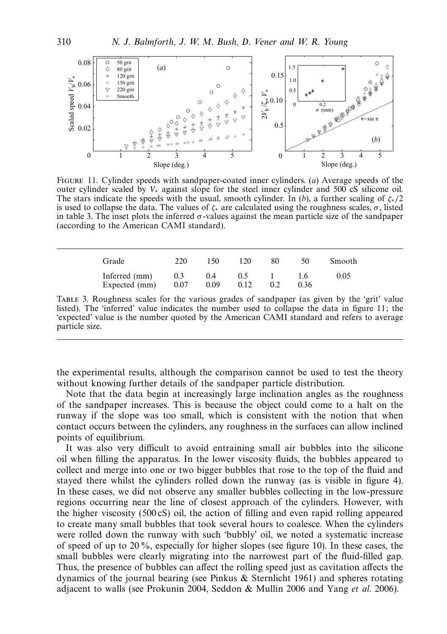

Figure 11. Cylinder speeds with sandpaper-coated inner cylinders. (a) Average speeds of the outer cylinder scaled by *V*<sup>∗</sup> against slope for the steel inner cylinder and 500 cS silicone oil. The stars indicate the speeds with the usual, smooth cylinder. In (b), a further scaling of *ζ*∗*/*2 is used to collapse the data. The values of  $\zeta_*$  are calculated using the roughness scales,  $\sigma$ , listed in table 3. The inset plots the inferred  $\sigma$ -values against the mean particle size of the sandpaper (according to the American CAMI standard).

| Grade                          | 220         | 150.        | 120         | 80  | 50         | Smooth |
|--------------------------------|-------------|-------------|-------------|-----|------------|--------|
| Inferred (mm)<br>Expected (mm) | 0.3<br>0.07 | 0.4<br>0.09 | 0.5<br>0.12 | 0.2 | 16<br>0.36 | 0.05   |

Table 3. Roughness scales for the various grades of sandpaper (as given by the 'grit' value listed). The 'inferred' value indicates the number used to collapse the data in figure 11; the 'expected' value is the number quoted by the American CAMI standard and refers to average particle size.

the experimental results, although the comparison cannot be used to test the theory without knowing further details of the sandpaper particle distribution.

Note that the data begin at increasingly large inclination angles as the roughness of the sandpaper increases. This is because the object could come to a halt on the runway if the slope was too small, which is consistent with the notion that when contact occurs between the cylinders, any roughness in the surfaces can allow inclined points of equilibrium.

It was also very difficult to avoid entraining small air bubbles into the silicone oil when filling the apparatus. In the lower viscosity fluids, the bubbles appeared to collect and merge into one or two bigger bubbles that rose to the top of the fluid and stayed there whilst the cylinders rolled down the runway (as is visible in figure 4). In these cases, we did not observe any smaller bubbles collecting in the low-pressure regions occurring near the line of closest approach of the cylinders. However, with the higher viscosity (500 cS) oil, the action of filling and even rapid rolling appeared to create many small bubbles that took several hours to coalesce. When the cylinders were rolled down the runway with such 'bubbly' oil, we noted a systematic increase of speed of up to 20 %, especially for higher slopes (see figure 10). In these cases, the small bubbles were clearly migrating into the narrowest part of the fluid-filled gap. Thus, the presence of bubbles can affect the rolling speed just as cavitation affects the dynamics of the journal bearing (see Pinkus & Sternlicht 1961) and spheres rotating adjacent to walls (see Prokunin 2004, Seddon & Mullin 2006 and Yang et al. 2006).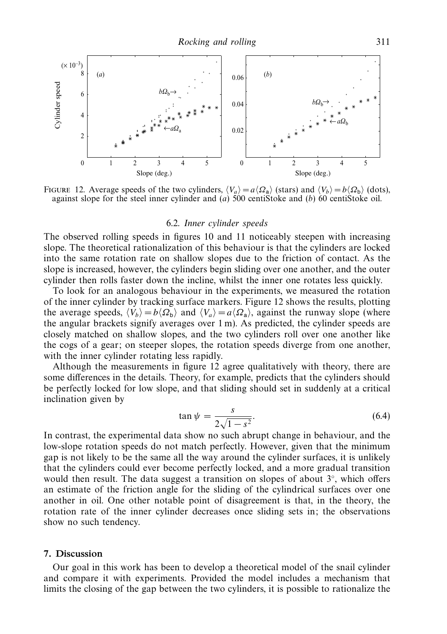

FIGURE 12. Average speeds of the two cylinders,  $\langle V_a \rangle = a \langle \Omega_a \rangle$  (stars) and  $\langle V_b \rangle = b \langle \Omega_b \rangle$  (dots), against slope for the steel inner cylinder and  $(a)$  500 centiStoke and  $(b)$  60 centiStoke oil.

## 6.2. Inner cylinder speeds

The observed rolling speeds in figures 10 and 11 noticeably steepen with increasing slope. The theoretical rationalization of this behaviour is that the cylinders are locked into the same rotation rate on shallow slopes due to the friction of contact. As the slope is increased, however, the cylinders begin sliding over one another, and the outer cylinder then rolls faster down the incline, whilst the inner one rotates less quickly.

To look for an analogous behaviour in the experiments, we measured the rotation of the inner cylinder by tracking surface markers. Figure 12 shows the results, plotting the average speeds,  $\langle V_b \rangle = b \langle \Omega_b \rangle$  and  $\langle V_a \rangle = a \langle \Omega_a \rangle$ , against the runway slope (where the angular brackets signify averages over 1 m). As predicted, the cylinder speeds are closely matched on shallow slopes, and the two cylinders roll over one another like the cogs of a gear; on steeper slopes, the rotation speeds diverge from one another, with the inner cylinder rotating less rapidly.

Although the measurements in figure 12 agree qualitatively with theory, there are some differences in the details. Theory, for example, predicts that the cylinders should be perfectly locked for low slope, and that sliding should set in suddenly at a critical inclination given by

$$
\tan \psi = \frac{s}{2\sqrt{1 - s^2}}.\tag{6.4}
$$

In contrast, the experimental data show no such abrupt change in behaviour, and the low-slope rotation speeds do not match perfectly. However, given that the minimum gap is not likely to be the same all the way around the cylinder surfaces, it is unlikely that the cylinders could ever become perfectly locked, and a more gradual transition would then result. The data suggest a transition on slopes of about 3<sup>°</sup>, which offers an estimate of the friction angle for the sliding of the cylindrical surfaces over one another in oil. One other notable point of disagreement is that, in the theory, the rotation rate of the inner cylinder decreases once sliding sets in; the observations show no such tendency.

## *7. Discussion*

Our goal in this work has been to develop a theoretical model of the snail cylinder and compare it with experiments. Provided the model includes a mechanism that limits the closing of the gap between the two cylinders, it is possible to rationalize the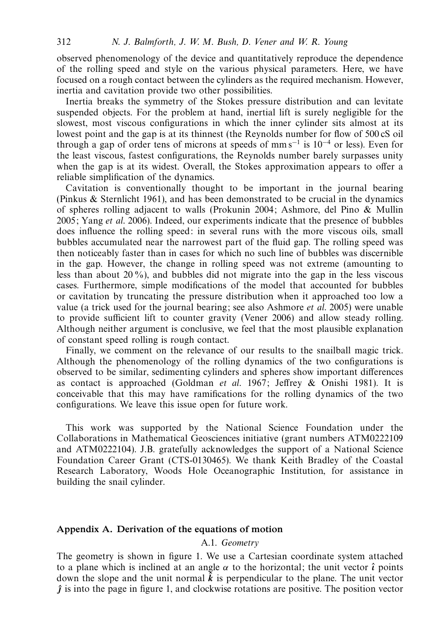observed phenomenology of the device and quantitatively reproduce the dependence of the rolling speed and style on the various physical parameters. Here, we have focused on a rough contact between the cylinders as the required mechanism. However, inertia and cavitation provide two other possibilities.

Inertia breaks the symmetry of the Stokes pressure distribution and can levitate suspended objects. For the problem at hand, inertial lift is surely negligible for the slowest, most viscous configurations in which the inner cylinder sits almost at its lowest point and the gap is at its thinnest (the Reynolds number for flow of 500 cS oil through a gap of order tens of microns at speeds of mm s<sup>-1</sup> is  $10^{-4}$  or less). Even for the least viscous, fastest configurations, the Reynolds number barely surpasses unity when the gap is at its widest. Overall, the Stokes approximation appears to offer a reliable simplification of the dynamics.

Cavitation is conventionally thought to be important in the journal bearing (Pinkus  $\&$  Sternlicht 1961), and has been demonstrated to be crucial in the dynamics of spheres rolling adjacent to walls (Prokunin 2004; Ashmore, del Pino & Mullin 2005; Yang et al. 2006). Indeed, our experiments indicate that the presence of bubbles does influence the rolling speed: in several runs with the more viscous oils, small bubbles accumulated near the narrowest part of the fluid gap. The rolling speed was then noticeably faster than in cases for which no such line of bubbles was discernible in the gap. However, the change in rolling speed was not extreme (amounting to less than about  $20\%$ ), and bubbles did not migrate into the gap in the less viscous cases. Furthermore, simple modifications of the model that accounted for bubbles or cavitation by truncating the pressure distribution when it approached too low a value (a trick used for the journal bearing; see also Ashmore et al. 2005) were unable to provide sufficient lift to counter gravity (Vener 2006) and allow steady rolling. Although neither argument is conclusive, we feel that the most plausible explanation of constant speed rolling is rough contact.

Finally, we comment on the relevance of our results to the snailball magic trick. Although the phenomenology of the rolling dynamics of the two configurations is observed to be similar, sedimenting cylinders and spheres show important differences as contact is approached (Goldman et al. 1967; Jeffrey & Onishi 1981). It is conceivable that this may have ramifications for the rolling dynamics of the two configurations. We leave this issue open for future work.

This work was supported by the National Science Foundation under the Collaborations in Mathematical Geosciences initiative (grant numbers ATM0222109 and ATM0222104). J.B. gratefully acknowledges the support of a National Science Foundation Career Grant (CTS-0130465). We thank Keith Bradley of the Coastal Research Laboratory, Woods Hole Oceanographic Institution, for assistance in building the snail cylinder.

## *Appendix A. Derivation of the equations of motion*

## A.1. Geometry

The geometry is shown in figure 1. We use a Cartesian coordinate system attached to a plane which is inclined at an angle *α* to the horizontal; the unit vector *ι* ˆ points down the slope and the unit normal  $\tilde{k}$  is perpendicular to the plane. The unit vector *j***ˆ** is into the page in figure 1, and clockwise rotations are positive. The position vector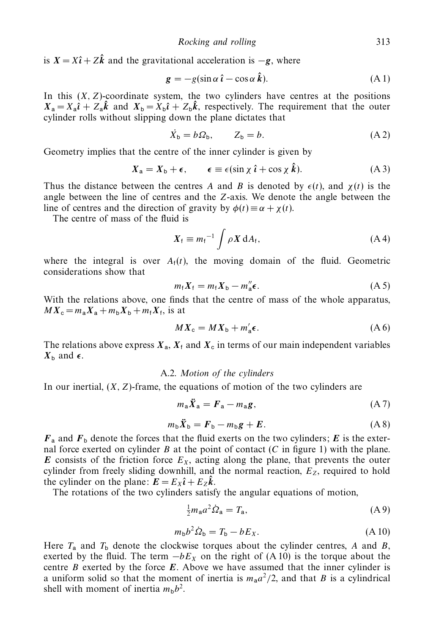is  $X = X\hat{\imath} + Z\hat{k}$  and the gravitational acceleration is  $-g$ , where

$$
\mathbf{g} = -g(\sin\alpha \,\hat{\mathbf{i}} - \cos\alpha \,\hat{\mathbf{k}}). \tag{A.1}
$$

In this  $(X, Z)$ -coordinate system, the two cylinders have centres at the positions  $X_a = X_a \hat{i} + Z_a \hat{k}$  and  $X_b = X_b \hat{i} + Z_b \hat{k}$ , respectively. The requirement that the outer cylinder rolls without slipping down the plane dictates that

$$
\dot{X}_{b} = b\Omega_{b}, \qquad Z_{b} = b. \tag{A.2}
$$

Geometry implies that the centre of the inner cylinder is given by

$$
X_{\rm a} = X_{\rm b} + \epsilon, \qquad \epsilon \equiv \epsilon (\sin \chi \hat{\iota} + \cos \chi \hat{k}). \tag{A 3}
$$

Thus the distance between the centres *A* and *B* is denoted by  $\epsilon(t)$ , and  $\chi(t)$  is the angle between the line of centres and the *Z*-axis. We denote the angle between the line of centres and the direction of gravity by  $\phi(t) \equiv \alpha + \chi(t)$ .

The centre of mass of the fluid is

$$
X_{\rm f} \equiv m_{\rm f}^{-1} \int \rho X \, \mathrm{d}A_{\rm f},\tag{A4}
$$

where the integral is over  $A_f(t)$ , the moving domain of the fluid. Geometric considerations show that

$$
m_{\mathfrak{f}} X_{\mathfrak{f}} = m_{\mathfrak{f}} X_{\mathfrak{b}} - m''_{\mathfrak{a}} \epsilon. \tag{A 5}
$$

With the relations above, one finds that the centre of mass of the whole apparatus,  $MX_c = m_aX_a + m_bX_b + m_fX_f$ , is at

$$
MX_{\rm c} = MX_{\rm b} + m_{\rm a}'\epsilon. \tag{A6}
$$

The relations above express  $X_a$ ,  $X_f$  and  $X_c$  in terms of our main independent variables  $X_{\rm b}$  and  $\epsilon$ .

#### A.2. Motion of the cylinders

In our inertial, (*X, Z*)-frame, the equations of motion of the two cylinders are

$$
m_{\rm a}\ddot{X}_{\rm a} = F_{\rm a} - m_{\rm a}g,\tag{A.7}
$$

$$
m_{\rm b}\ddot{X}_{\rm b}=F_{\rm b}-m_{\rm b}g+E.\tag{A8}
$$

 $F_a$  and  $F_b$  denote the forces that the fluid exerts on the two cylinders; *E* is the external force exerted on cylinder *B* at the point of contact (*C* in figure 1) with the plane. *E* consists of the friction force  $E<sub>x</sub>$ , acting along the plane, that prevents the outer cylinder from freely sliding downhill, and the normal reaction,  $E_z$ , required to hold the cylinder on the plane:  $\mathbf{E} = E_X \hat{\imath} + E_Z \hat{\imath}$ .

The rotations of the two cylinders satisfy the angular equations of motion,

$$
\frac{1}{2}m_a a^2 \dot{\Omega}_a = T_a,\tag{A9}
$$

$$
m_b b^2 \dot{\Omega}_b = T_b - b E_x. \tag{A10}
$$

Here  $T_a$  and  $T_b$  denote the clockwise torques about the cylinder centres, A and B, exerted by the fluid. The term  $-bE<sub>X</sub>$  on the right of (A 10) is the torque about the centre *B* exerted by the force *E*. Above we have assumed that the inner cylinder is a uniform solid so that the moment of inertia is  $m_a a^2/2$ , and that *B* is a cylindrical shell with moment of inertia  $m_b b^2$ .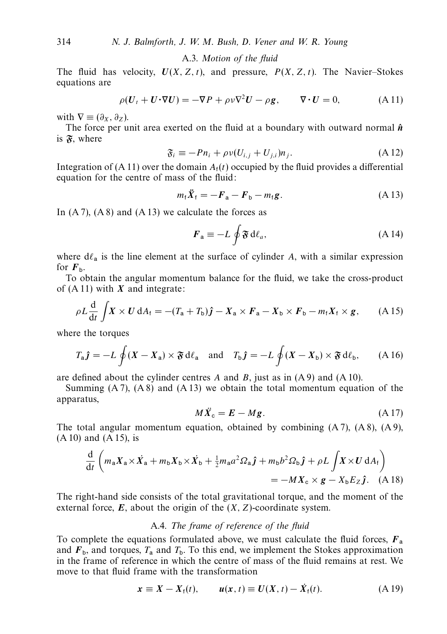## A.3. Motion of the fluid

The fluid has velocity,  $U(X, Z, t)$ , and pressure,  $P(X, Z, t)$ . The Navier–Stokes equations are

$$
\rho(U_t + U \cdot \nabla U) = -\nabla P + \rho v \nabla^2 U - \rho g, \qquad \nabla \cdot U = 0,
$$
 (A 11)

with  $\nabla \equiv (\partial_X, \partial_Z)$ .

The force per unit area exerted on the fluid at a boundary with outward normal  $\hat{n}$ is **F**, where

$$
\mathfrak{F}_i \equiv -P n_i + \rho v (U_{i,j} + U_{j,i}) n_j. \tag{A12}
$$

Integration of  $(A 11)$  over the domain  $A_f(t)$  occupied by the fluid provides a differential equation for the centre of mass of the fluid:

$$
m_{\mathfrak{f}}\ddot{X}_{\mathfrak{f}} = -F_{\mathfrak{a}} - F_{\mathfrak{b}} - m_{\mathfrak{f}}g. \tag{A.13}
$$

In  $(A 7)$ ,  $(A 8)$  and  $(A 13)$  we calculate the forces as

$$
\boldsymbol{F}_{\mathsf{a}} \equiv -L \oint \mathfrak{F} \, \mathrm{d}\ell_a,\tag{A.14}
$$

where  $d\ell_a$  is the line element at the surface of cylinder A, with a similar expression for  $F<sub>b</sub>$ .

To obtain the angular momentum balance for the fluid, we take the cross-product of (A 11) with *X* and integrate:

$$
\rho L \frac{\mathrm{d}}{\mathrm{d}t} \int X \times U \, \mathrm{d}A_{\mathrm{f}} = -(T_{\mathrm{a}} + T_{\mathrm{b}}) \hat{\jmath} - X_{\mathrm{a}} \times F_{\mathrm{a}} - X_{\mathrm{b}} \times F_{\mathrm{b}} - m_{\mathrm{f}} X_{\mathrm{f}} \times g, \qquad (A \, 15)
$$

where the torques

$$
T_{\mathbf{a}}\hat{\mathbf{j}} = -L \oint (X - X_{\mathbf{a}}) \times \mathfrak{F} \, \mathrm{d}\ell_{\mathbf{a}} \quad \text{and} \quad T_{\mathbf{b}}\hat{\mathbf{j}} = -L \oint (X - X_{\mathbf{b}}) \times \mathfrak{F} \, \mathrm{d}\ell_{\mathbf{b}}, \qquad (A \, 16)
$$

are defined about the cylinder centres *A* and *B*, just as in (A 9) and (A 10).

Summing  $(A 7)$ ,  $(A 8)$  and  $(A 13)$  we obtain the total momentum equation of the apparatus,

$$
M\ddot{X}_{c} = E - Mg. \tag{A17}
$$

The total angular momentum equation, obtained by combining  $(A 7)$ ,  $(A 8)$ ,  $(A 9)$ , (A 10) and (A 15), is

$$
\frac{d}{dt} \left( m_a X_a \times \dot{X}_a + m_b X_b \times \dot{X}_b + \frac{1}{2} m_a a^2 \Omega_a \hat{\jmath} + m_b b^2 \Omega_b \hat{\jmath} + \rho L \int X \times U \, dA_f \right) \n= -M X_c \times g - X_b E_Z \hat{\jmath}. \quad (A 18)
$$

The right-hand side consists of the total gravitational torque, and the moment of the external force,  $E$ , about the origin of the  $(X, Z)$ -coordinate system.

## A.4. The frame of reference of the fluid

To complete the equations formulated above, we must calculate the fluid forces,  $F_a$ and  $\mathbf{F}_{\rm b}$ , and torques,  $T_{\rm a}$  and  $T_{\rm b}$ . To this end, we implement the Stokes approximation in the frame of reference in which the centre of mass of the fluid remains at rest. We move to that fluid frame with the transformation

$$
x \equiv X - X_1(t),
$$
  $u(x, t) \equiv U(X, t) - \dot{X}_1(t).$  (A 19)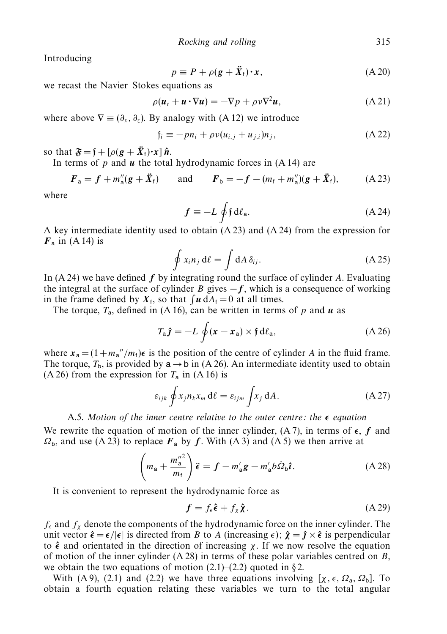Introducing

$$
p \equiv P + \rho(g + \ddot{X}_f) \cdot x,\tag{A.20}
$$

we recast the Navier–Stokes equations as

$$
\rho(\mathbf{u}_t + \mathbf{u} \cdot \nabla \mathbf{u}) = -\nabla p + \rho v \nabla^2 \mathbf{u},\tag{A.21}
$$

where above  $\nabla \equiv (\partial_x, \partial_z)$ . By analogy with (A 12) we introduce

$$
\mathfrak{f}_i \equiv -pn_i + \rho v(u_{i,j} + u_{j,i})n_j,\tag{A.22}
$$

so that  $\mathfrak{F} = \mathfrak{f} + [\rho(g + \ddot{X}_f) \cdot x] \hat{n}$ .

In terms of *p* and *u* the total hydrodynamic forces in (A 14) are

$$
F_a = f + m_a''(g + \ddot{X}_t)
$$
 and  $F_b = -f - (m_f + m_a'')(g + \ddot{X}_t)$ , (A 23)

where

$$
f \equiv -L \oint f d\ell_a. \tag{A.24}
$$

A key intermediate identity used to obtain (A 23) and (A 24) from the expression for  $\mathbf{F}_a$  in (A 14) is

$$
\oint x_i n_j \, d\ell = \int dA \, \delta_{ij}.\tag{A.25}
$$

In (A 24) we have defined *f* by integrating round the surface of cylinder *A*. Evaluating the integral at the surface of cylinder *B* gives  $-f$ , which is a consequence of working in the frame defined by  $X_i$ , so that  $\int u \, dA_i = 0$  at all times.

The torque,  $T_a$ , defined in (A 16), can be written in terms of  $p$  and  $u$  as

$$
T_{\mathbf{a}}\hat{\mathbf{j}} = -L \oint (\mathbf{x} - \mathbf{x}_{\mathbf{a}}) \times \mathbf{f} \, \mathrm{d}\ell_{\mathbf{a}},\tag{A.26}
$$

where  $x_a = (1 + m_a''/m_f)\epsilon$  is the position of the centre of cylinder *A* in the fluid frame. The torque,  $T_b$ , is provided by  $a \rightarrow b$  in (A 26). An intermediate identity used to obtain (A 26) from the expression for  $T_a$  in (A 16) is

$$
\varepsilon_{ijk} \oint x_j n_k x_m \, d\ell = \varepsilon_{ijm} \int x_j \, dA. \tag{A.27}
$$

A.5. Motion of the inner centre relative to the outer centre: the  $\epsilon$  equation

We rewrite the equation of motion of the inner cylinder,  $(A 7)$ , in terms of  $\epsilon$ ,  $f$  and  $\Omega_{\rm b}$ , and use (A 23) to replace  $F_{\rm a}$  by f. With (A 3) and (A 5) we then arrive at

$$
\left(m_{\mathbf{a}} + \frac{m_{\mathbf{a}}^{"2}}{m_{\mathbf{f}}}\right)\ddot{\boldsymbol{\epsilon}} = \boldsymbol{f} - m_{\mathbf{a}}'\boldsymbol{g} - m_{\mathbf{a}}'b\dot{\boldsymbol{\Omega}}_{\mathbf{b}}\hat{\boldsymbol{\iota}}.
$$
 (A 28)

It is convenient to represent the hydrodynamic force as

$$
f = f_{\epsilon} \hat{\epsilon} + f_{\chi} \hat{\chi}.
$$
 (A 29)

 $f_{\epsilon}$  and  $f_{\chi}$  denote the components of the hydrodynamic force on the inner cylinder. The unit vector  $\hat{\boldsymbol{\epsilon}} = \boldsymbol{\epsilon}/|\boldsymbol{\epsilon}|$  is directed from *B* to *A* (increasing  $\boldsymbol{\epsilon}$ );  $\hat{\boldsymbol{\chi}} = \hat{\boldsymbol{j}} \times \hat{\boldsymbol{\epsilon}}$  is perpendicular to  $\hat{\epsilon}$  and orientated in the direction of increasing *χ*. If we now resolve the equation of motion of the inner cylinder (A 28) in terms of these polar variables centred on *B*, we obtain the two equations of motion  $(2.1)$ – $(2.2)$  quoted in §2.

With (A 9), (2.1) and (2.2) we have three equations involving [ $\chi$ ,  $\epsilon$ ,  $\Omega_a$ ,  $\Omega_b$ ]. To obtain a fourth equation relating these variables we turn to the total angular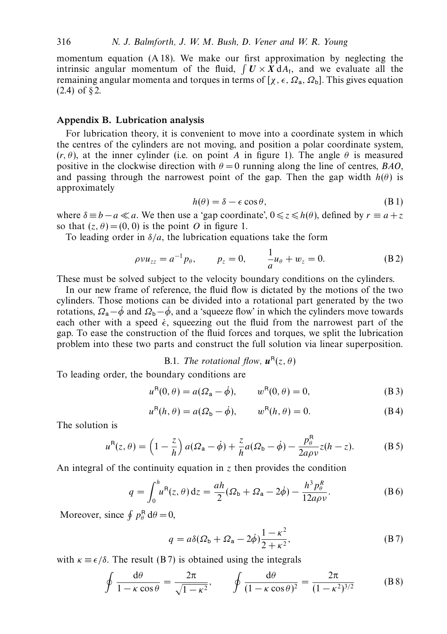momentum equation (A 18). We make our first approximation by neglecting the intrinsic angular momentum of the fluid,  $\int U \times X dA_f$ , and we evaluate all the remaining angular momenta and torques in terms of [*χ*, *∈*,  $Ω<sub>a</sub>$ ,  $Ω<sub>b</sub>$ ]. This gives equation  $(2.4)$  of §2.

## *Appendix B. Lubrication analysis*

For lubrication theory, it is convenient to move into a coordinate system in which the centres of the cylinders are not moving, and position a polar coordinate system,  $(r, \theta)$ , at the inner cylinder (i.e. on point *A* in figure 1). The angle  $\theta$  is measured positive in the clockwise direction with  $\theta = 0$  running along the line of centres, *BAO*, and passing through the narrowest point of the gap. Then the gap width  $h(\theta)$  is approximately

$$
h(\theta) = \delta - \epsilon \cos \theta, \tag{B1}
$$

where  $\delta = b - a \ll a$ . We then use a 'gap coordinate',  $0 \le z \le h(\theta)$ , defined by  $r \equiv a + z$ so that  $(z, \theta) = (0, 0)$  is the point *O* in figure 1.

To leading order in  $\delta/a$ , the lubrication equations take the form

$$
\rho v u_{zz} = a^{-1} p_\theta, \qquad p_z = 0, \qquad \frac{1}{a} u_\theta + w_z = 0.
$$
 (B2)

These must be solved subject to the velocity boundary conditions on the cylinders.

In our new frame of reference, the fluid flow is dictated by the motions of the two cylinders. Those motions can be divided into a rotational part generated by the two rotations,  $\Omega_a - \dot{\phi}$  and  $\Omega_b - \dot{\phi}$ , and a 'squeeze flow' in which the cylinders move towards each other with a speed  $\epsilon$ , squeezing out the fluid from the narrowest part of the gap. To ease the construction of the fluid forces and torques, we split the lubrication problem into these two parts and construct the full solution via linear superposition.

B.1. The rotational flow,  $\mathbf{u}^{\text{R}}(z,\theta)$ 

To leading order, the boundary conditions are

$$
u^{R}(0, \theta) = a(\Omega_{a} - \dot{\phi}), \qquad w^{R}(0, \theta) = 0,
$$
 (B 3)

$$
u^{R}(h, \theta) = a(\Omega_{b} - \dot{\phi}), \qquad w^{R}(h, \theta) = 0.
$$
 (B4)

The solution is

$$
u^{\mathsf{R}}(z,\theta) = \left(1 - \frac{z}{h}\right) a(\Omega_{\mathsf{a}} - \dot{\phi}) + \frac{z}{h} a(\Omega_{\mathsf{b}} - \dot{\phi}) - \frac{p_{\theta}^{\mathsf{R}}}{2a\rho v} z(h - z).
$$
 (B 5)

An integral of the continuity equation in *z* then provides the condition

$$
q = \int_0^h u^R(z,\theta) dz = \frac{ah}{2} (\Omega_b + \Omega_a - 2\dot{\phi}) - \frac{h^3 p_\theta^R}{12a\rho \nu}.
$$
 (B6)

Moreover, since  $\oint p_{\theta}^{\text{R}} d\theta = 0$ ,

$$
q = a\delta(\Omega_b + \Omega_a - 2\dot{\phi})\frac{1 - \kappa^2}{2 + \kappa^2},\tag{B7}
$$

with  $\kappa \equiv \epsilon/\delta$ . The result (B 7) is obtained using the integrals

$$
\oint \frac{d\theta}{1 - \kappa \cos \theta} = \frac{2\pi}{\sqrt{1 - \kappa^2}}, \qquad \oint \frac{d\theta}{(1 - \kappa \cos \theta)^2} = \frac{2\pi}{(1 - \kappa^2)^{3/2}} \tag{B 8}
$$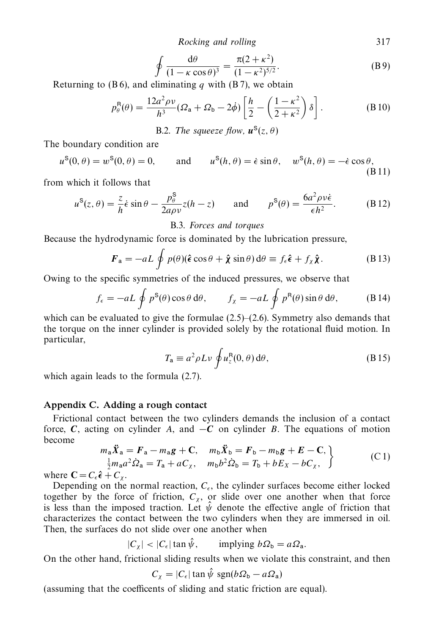Rocking and rolling 317

$$
\oint \frac{d\theta}{(1 - \kappa \cos \theta)^3} = \frac{\pi (2 + \kappa^2)}{(1 - \kappa^2)^{5/2}}.
$$
\n(B9)

Returning to  $(B 6)$ , and eliminating *q* with  $(B 7)$ , we obtain

$$
p_{\theta}^{\mathsf{R}}(\theta) = \frac{12a^2 \rho \nu}{h^3} (\Omega_a + \Omega_b - 2\dot{\phi}) \left[ \frac{h}{2} - \left( \frac{1 - \kappa^2}{2 + \kappa^2} \right) \delta \right].
$$
 (B.10)

B.2. The squeeze flow,  $\mathbf{u}^{\mathsf{S}}(z,\theta)$ 

The boundary condition are

$$
u^{\mathsf{S}}(0,\theta) = w^{\mathsf{S}}(0,\theta) = 0,
$$
 and  $u^{\mathsf{S}}(h,\theta) = \dot{\epsilon} \sin \theta, \quad w^{\mathsf{S}}(h,\theta) = -\dot{\epsilon} \cos \theta,$   
(B.11)

from which it follows that

$$
u^{\mathsf{S}}(z,\theta) = \frac{z}{h} \dot{\epsilon} \sin \theta - \frac{p_{\theta}^{\mathsf{S}}}{2a\rho v} z(h-z) \quad \text{and} \quad p^{\mathsf{S}}(\theta) = \frac{6a^2 \rho v \dot{\epsilon}}{\epsilon h^2}.
$$
 (B.12)

B.3. Forces and torques

Because the hydrodynamic force is dominated by the lubrication pressure,

$$
\boldsymbol{F}_{\mathbf{a}} = -aL \oint p(\theta)(\hat{\boldsymbol{\epsilon}} \cos \theta + \hat{\boldsymbol{\chi}} \sin \theta) d\theta \equiv f_{\epsilon} \hat{\boldsymbol{\epsilon}} + f_{\chi} \hat{\boldsymbol{\chi}}.
$$
 (B.13)

Owing to the specific symmetries of the induced pressures, we observe that

$$
f_{\epsilon} = -aL \oint p^{\mathsf{S}}(\theta) \cos \theta \, d\theta, \qquad f_{\chi} = -aL \oint p^{\mathsf{R}}(\theta) \sin \theta \, d\theta, \tag{B.14}
$$

which can be evaluated to give the formulae  $(2.5)$ – $(2.6)$ . Symmetry also demands that the torque on the inner cylinder is provided solely by the rotational fluid motion. In particular,

$$
T_{\rm a} \equiv a^2 \rho L \nu \oint u_z^{\rm R}(0, \theta) d\theta, \qquad (B 15)
$$

which again leads to the formula  $(2.7)$ .

# *Appendix C. Adding a rough contact*

Frictional contact between the two cylinders demands the inclusion of a contact force, *C*, acting on cylinder *A*, and  $-C$  on cylinder *B*. The equations of motion become

$$
m_a \ddot{X}_a = F_a - m_a g + C, \quad m_b \ddot{X}_b = F_b - m_b g + E - C,
$$
  
\n
$$
\frac{1}{2} m_a a^2 \dot{\Omega}_a = T_a + a C_\chi, \quad m_b b^2 \dot{\Omega}_b = T_b + b E_\chi - b C_\chi,
$$
 (C1)

where  $\mathbf{C} = C_{\epsilon} \hat{\boldsymbol{\epsilon}} + C_{\chi}$ .

Depending on the normal reaction,  $C_{\epsilon}$ , the cylinder surfaces become either locked together by the force of friction,  $C_y$ , or slide over one another when that force is less than the imposed traction. Let  $\hat{\psi}$  denote the effective angle of friction that characterizes the contact between the two cylinders when they are immersed in oil. Then, the surfaces do not slide over one another when

$$
|C_{\chi}| < |C_{\epsilon}| \tan \hat{\psi}, \qquad \text{implying } b\Omega_{\mathrm{b}} = a\Omega_{\mathrm{a}}.
$$

On the other hand, frictional sliding results when we violate this constraint, and then

$$
C_{\chi} = |C_{\epsilon}| \tan \hat{\psi} \text{ sgn}(b\Omega_{\text{b}} - a\Omega_{\text{a}})
$$

(assuming that the coefficents of sliding and static friction are equal).